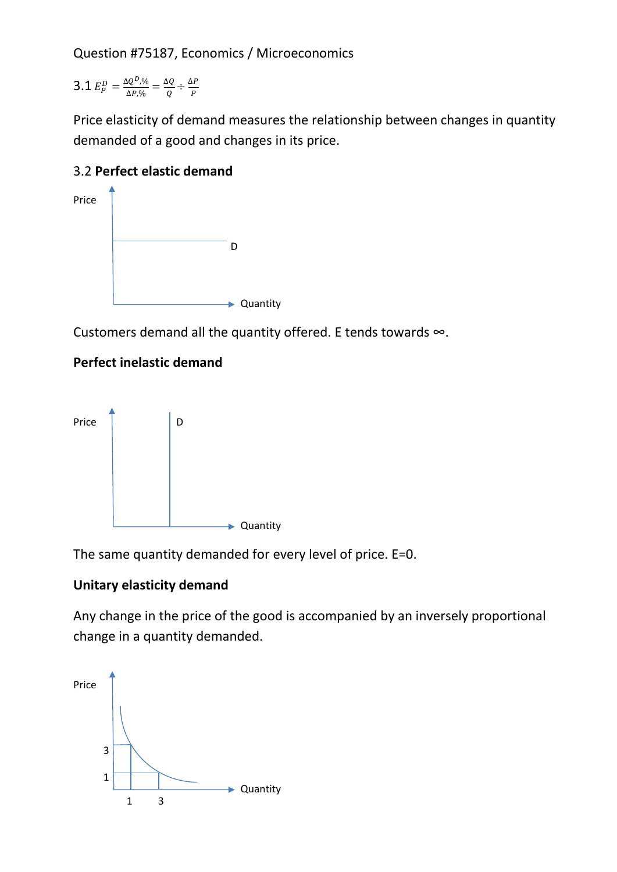Question #75187, Economics / Microeconomics

**3.1**  $E_P^D = \frac{\Delta Q^D N_0}{\Delta P N_0}$  $\frac{\Delta Q^{D}\beta_{0}}{\Delta P\beta_{0}}=\frac{\Delta Q}{Q}$  $\frac{\Delta Q}{Q} \div \frac{\Delta P}{P}$  $\boldsymbol{P}$ 

Price elasticity of demand measures the relationship between changes in quantity demanded of a good and changes in its price.

## 3.2 **Perfect elastic demand**



Customers demand all the quantity offered. E tends towards ∞.

## **Perfect inelastic demand**



The same quantity demanded for every level of price. E=0.

## **Unitary elasticity demand**

Any change in the price of the good is accompanied by an inversely proportional change in a quantity demanded.